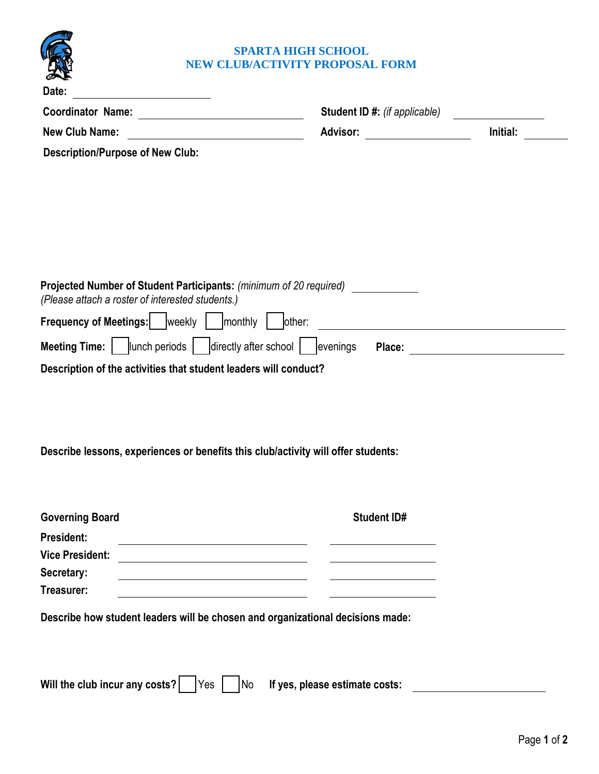

| Date:                                                                                                                               |                                      |                                                               |  |  |
|-------------------------------------------------------------------------------------------------------------------------------------|--------------------------------------|---------------------------------------------------------------|--|--|
|                                                                                                                                     |                                      | Student ID #: (if applicable) _________________               |  |  |
| <b>New Club Name:</b><br><u> 1980 - Johann Barbara, martxa amerikan per</u>                                                         | Advisor: ____________________        | Initial:                                                      |  |  |
| <b>Description/Purpose of New Club:</b>                                                                                             |                                      |                                                               |  |  |
|                                                                                                                                     |                                      |                                                               |  |  |
|                                                                                                                                     |                                      |                                                               |  |  |
|                                                                                                                                     |                                      |                                                               |  |  |
|                                                                                                                                     |                                      |                                                               |  |  |
|                                                                                                                                     |                                      |                                                               |  |  |
| Projected Number of Student Participants: (minimum of 20 required) ____________<br>(Please attach a roster of interested students.) |                                      |                                                               |  |  |
| Frequency of Meetings:   weekly     monthly                                                                                         | other:                               | <u> 1989 - Johann Barn, fransk politik fotograf (d. 1989)</u> |  |  |
| <b>Meeting Time:</b> $\vert$ $\vert$ lunch periods $\vert$ directly after school $\vert$ evenings                                   |                                      |                                                               |  |  |
| Description of the activities that student leaders will conduct?                                                                    |                                      |                                                               |  |  |
|                                                                                                                                     |                                      |                                                               |  |  |
|                                                                                                                                     |                                      |                                                               |  |  |
|                                                                                                                                     |                                      |                                                               |  |  |
| Describe lessons, experiences or benefits this club/activity will offer students:                                                   |                                      |                                                               |  |  |
|                                                                                                                                     |                                      |                                                               |  |  |
|                                                                                                                                     |                                      |                                                               |  |  |
| <b>Governing Board</b>                                                                                                              | <b>Student ID#</b>                   |                                                               |  |  |
| <b>President:</b><br><b>Vice President:</b>                                                                                         |                                      |                                                               |  |  |
| Secretary:<br><u> 1989 - Johann Stoff, amerikansk politiker (* 1908)</u>                                                            |                                      |                                                               |  |  |
| Treasurer:                                                                                                                          |                                      |                                                               |  |  |
| Describe how student leaders will be chosen and organizational decisions made:                                                      |                                      |                                                               |  |  |
|                                                                                                                                     |                                      |                                                               |  |  |
|                                                                                                                                     |                                      |                                                               |  |  |
| Will the club incur any costs?<br><b>Yes</b>                                                                                        | No<br>If yes, please estimate costs: |                                                               |  |  |
|                                                                                                                                     |                                      |                                                               |  |  |